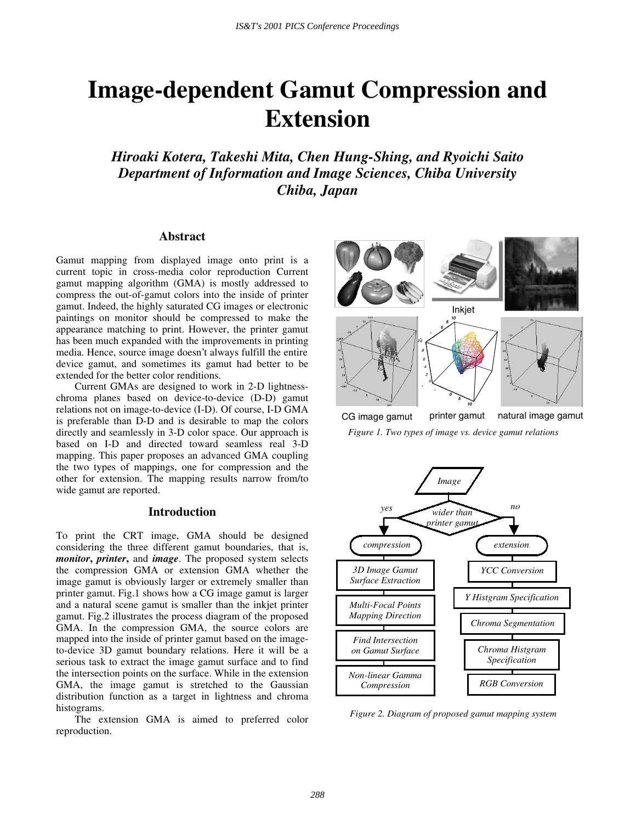# **Image-dependent Gamut Compression and Extension**

*Hiroaki Kotera, Takeshi Mita, Chen Hung-Shing, and Ryoichi Saito Department of Information and Image Sciences, Chiba University Chiba, Japan* 

# **Abstract**

Gamut mapping from displayed image onto print is a current topic in cross-media color reproduction Current gamut mapping algorithm (GMA) is mostly addressed to compress the out-of-gamut colors into the inside of printer gamut. Indeed, the highly saturated CG images or electronic paintings on monitor should be compressed to make the appearance matching to print. However, the printer gamut has been much expanded with the improvements in printing media. Hence, source image doesn't always fulfill the entire device gamut, and sometimes its gamut had better to be extended for the better color renditions.

Current GMAs are designed to work in 2-D lightnesschroma planes based on device-to-device (D-D) gamut relations not on image-to-device (I-D). Of course, I-D GMA is preferable than D-D and is desirable to map the colors directly and seamlessly in 3-D color space. Our approach is based on I-D and directed toward seamless real 3-D mapping. This paper proposes an advanced GMA coupling the two types of mappings, one for compression and the other for extension. The mapping results narrow from/to wide gamut are reported.

# **Introduction**

To print the CRT image, GMA should be designed considering the three different gamut boundaries, that is, *monitor***,** *printer***,** and *image*. The proposed system selects the compression GMA or extension GMA whether the image gamut is obviously larger or extremely smaller than printer gamut. Fig.1 shows how a CG image gamut is larger and a natural scene gamut is smaller than the inkjet printer gamut. Fig.2 illustrates the process diagram of the proposed GMA. In the compression GMA, the source colors are mapped into the inside of printer gamut based on the imageto-device 3D gamut boundary relations. Here it will be a serious task to extract the image gamut surface and to find the intersection points on the surface. While in the extension GMA, the image gamut is stretched to the Gaussian distribution function as a target in lightness and chroma histograms.

The extension GMA is aimed to preferred color reproduction.



*Figure 1. Two types of image vs. device gamut relations* 



*Figure 2. Diagram of proposed gamut mapping system*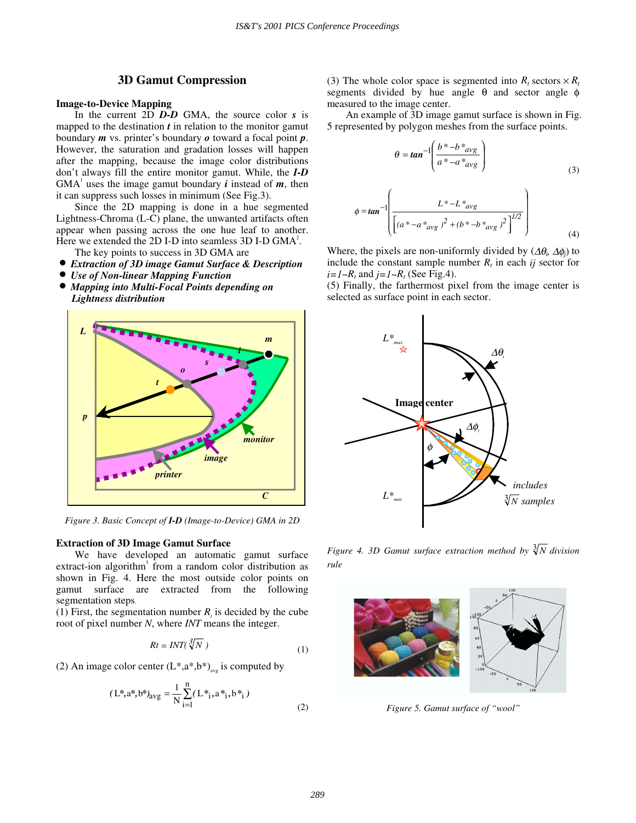# **3D Gamut Compression**

## **Image-to-Device Mapping**

In the current 2D *D-D* GMA, the source color *s* is mapped to the destination *t* in relation to the monitor gamut boundary *m* vs. printer's boundary *o* toward a focal point *p*. However, the saturation and gradation losses will happen after the mapping, because the image color distributions don't always fill the entire monitor gamut. While, the *I-D*  $GMA<sup>1</sup>$  uses the image gamut boundary *i* instead of *m*, then it can suppress such losses in minimum (See Fig.3).

Since the 2D mapping is done in a hue segmented Lightness-Chroma (L-C) plane, the unwanted artifacts often appear when passing across the one hue leaf to another. Here we extended the 2D I-D into seamless 3D I-D  $GMA<sup>2</sup>$ .

- The key points to success in 3D GMA are
- *Extraction of 3D image Gamut Surface & Description*
- *Use of Non-linear Mapping Function*
- *Mapping into Multi-Focal Points depending on Lightness distribution*



*Figure 3. Basic Concept of I-D (Image-to-Device) GMA in 2D*

### **Extraction of 3D Image Gamut Surface**

We have developed an automatic gamut surface extract-ion algorithm<sup>3</sup> from a random color distribution as shown in Fig. 4. Here the most outside color points on gamut surface are extracted from the following segmentation steps.

(1) First, the segmentation number  $R<sub>i</sub>$  is decided by the cube root of pixel number *N*, where *INT* means the integer.

$$
Rt = INT(\sqrt[3]{N})
$$
 (1)

(2) An image color center  $(L^*, a^*, b^*)_{avg}$  is computed by

$$
(L^*, a^*, b^*)_{avg} = \frac{1}{N} \sum_{i=1}^{n} (L^*_{i}, a^*_{i}, b^*_{i})
$$
\n(2)

(3) The whole color space is segmented into  $R_t$  sectors  $\times R_t$ segments divided by hue angle  $\theta$  and sector angle  $\phi$ measured to the image center.

An example of 3D image gamut surface is shown in Fig. 5 represented by polygon meshes from the surface points.

$$
\theta = \tan^{-1} \left( \frac{b^* - b^*_{avg}}{a^* - a^*_{avg}} \right)
$$
\n(3)

$$
\phi = \tan^{-1} \left( \frac{L^* - L^*_{avg}}{\left[ \left( a^* - a^*_{avg} \right)^2 + \left( b^* - b^*_{avg} \right)^2 \right]^{1/2}} \right)
$$
\n(4)

Where, the pixels are non-uniformly divided by  $(\Delta\theta_i, \Delta\phi_i)$  to include the constant sample number  $R_t$  in each *ij* sector for  $i=1~R_t$  and  $j=1~R_t$  (See Fig.4).

(5) Finally, the farthermost pixel from the image center is selected as surface point in each sector.



*Figure 4. 3D Gamut surface extraction method by*  $\sqrt[3]{N}$  *division rule*



*Figure 5. Gamut surface of "wool"*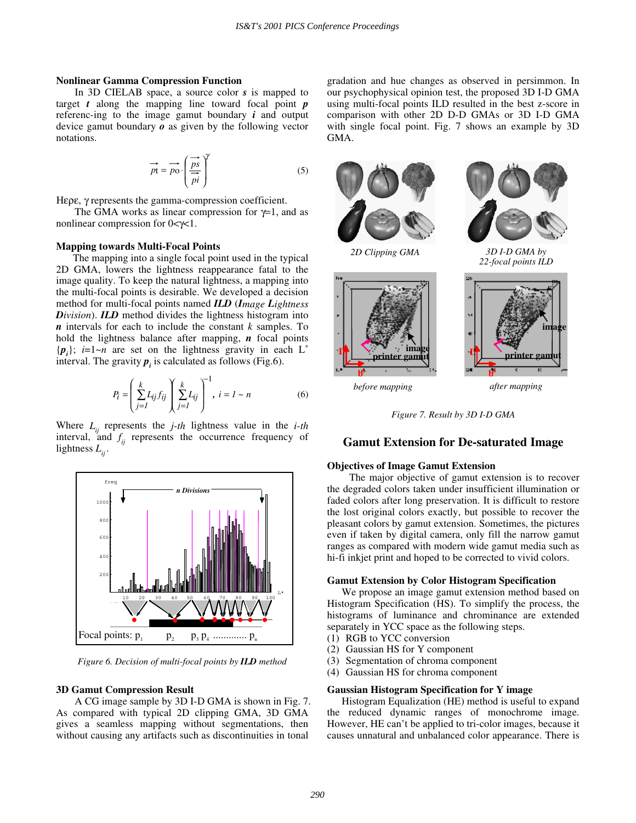## **Nonlinear Gamma Compression Function**

In 3D CIELAB space, a source color *s* is mapped to target *t* along the mapping line toward focal point *p* referenc-ing to the image gamut boundary *i* and output device gamut boundary *o* as given by the following vector notations.

$$
\vec{pt} = \vec{po} \cdot \left(\frac{\vec{ps}}{\vec{pi}}\right)^{\gamma}
$$
 (5)

Ηερε, γ represents the gamma-compression coefficient.

The GMA works as linear compression for  $\gamma=1$ , and as nonlinear compression for 0<γ<1.

#### **Mapping towards Multi-Focal Points**

 The mapping into a single focal point used in the typical 2D GMA, lowers the lightness reappearance fatal to the image quality. To keep the natural lightness, a mapping into the multi-focal points is desirable. We developed a decision method for multi-focal points named *ILD* (*Image Lightness Division*). *ILD* method divides the lightness histogram into *n* intervals for each to include the constant *k* samples. To hold the lightness balance after mapping, *n* focal points  $\{p_i\}; i=1~\sim n$  are set on the lightness gravity in each L<sup>\*</sup> interval. The gravity  $p_i$  is calculated as follows (Fig.6).

$$
P_i = \left(\sum_{j=1}^k L_{ij} f_{ij}\right) \left(\sum_{j=1}^k L_{ij}\right)^{-1}, \ i = 1 \sim n \tag{6}
$$

Where  $L_{ij}$  represents the *j-th* lightness value in the *i-th* interval, and  $f_{ij}$  represents the occurrence frequency of lightness  $L_{ii}$ .



*Figure 6. Decision of multi-focal points by ILD method* 

#### **3D Gamut Compression Result**

A CG image sample by 3D I-D GMA is shown in Fig. 7. As compared with typical 2D clipping GMA, 3D GMA gives a seamless mapping without segmentations, then without causing any artifacts such as discontinuities in tonal

gradation and hue changes as observed in persimmon. In our psychophysical opinion test, the proposed 3D I-D GMA using multi-focal points ILD resulted in the best z-score in comparison with other 2D D-D GMAs or 3D I-D GMA with single focal point. Fig. 7 shows an example by 3D GMA.







*3D I-D GMA by 22-focal points ILD* 



*before mapping after mapping* 

*Figure 7. Result by 3D I-D GMA* 

# **Gamut Extension for De-saturated Image**

#### **Objectives of Image Gamut Extension**

The major objective of gamut extension is to recover the degraded colors taken under insufficient illumination or faded colors after long preservation. It is difficult to restore the lost original colors exactly, but possible to recover the pleasant colors by gamut extension. Sometimes, the pictures even if taken by digital camera, only fill the narrow gamut ranges as compared with modern wide gamut media such as hi-fi inkjet print and hoped to be corrected to vivid colors.

#### **Gamut Extension by Color Histogram Specification**

 We propose an image gamut extension method based on Histogram Specification (HS). To simplify the process, the histograms of luminance and chrominance are extended separately in YCC space as the following steps.

- (1) RGB to YCC conversion
- (2) Gaussian HS for Y component
- (3) Segmentation of chroma component
- (4) Gaussian HS for chroma component

#### **Gaussian Histogram Specification for Y image**

 Histogram Equalization (HE) method is useful to expand the reduced dynamic ranges of monochrome image. However, HE can't be applied to tri-color images, because it causes unnatural and unbalanced color appearance. There is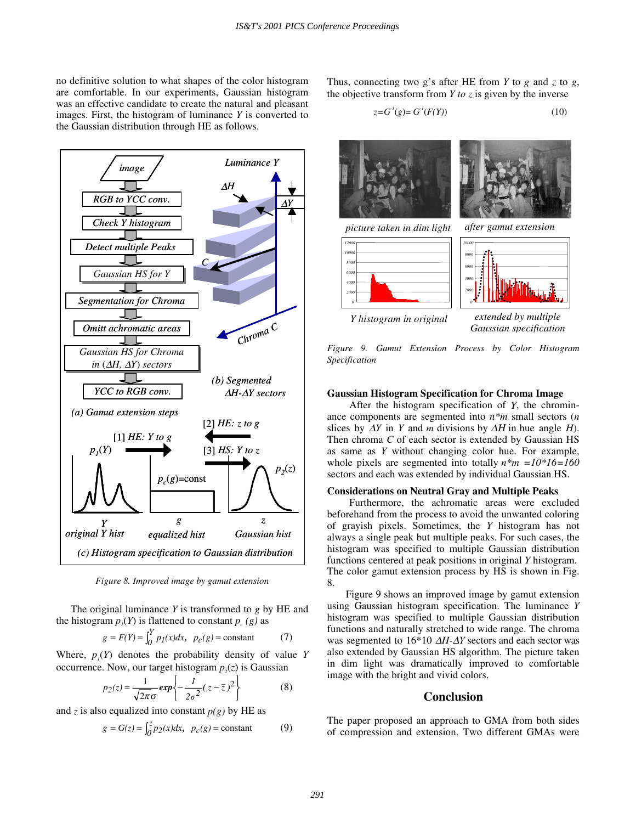no definitive solution to what shapes of the color histogram are comfortable. In our experiments, Gaussian histogram was an effective candidate to create the natural and pleasant images. First, the histogram of luminance *Y* is converted to the Gaussian distribution through HE as follows.



*Figure 8. Improved image by gamut extension* 

The original luminance *Y* is transformed to *g* by HE and the histogram  $p_i(Y)$  is flattened to constant  $p_c(g)$  as

$$
g = F(Y) = \int_0^Y p_I(x)dx, \quad p_C(g) = \text{constant} \tag{7}
$$

Where,  $p_1(Y)$  denotes the probability density of value *Y* occurrence. Now, our target histogram  $p_2(z)$  is Gaussian

$$
p_2(z) = \frac{1}{\sqrt{2\pi}\sigma} \exp\left\{-\frac{1}{2\sigma^2}(z-\overline{z})^2\right\}
$$
 (8)

and *z* is also equalized into constant  $p(g)$  by HE as

$$
g = G(z) = \int_0^z p_2(x) dx, \quad p_c(g) = \text{constant} \tag{9}
$$

Thus, connecting two g's after HE from *Y* to *g* and *z* to *g*, the objective transform from *Y to z* is given by the inverse

$$
z = G1(g) = G1(F(Y))
$$
\n
$$
(10)
$$



*Gaussian specification* 

*Figure 9. Gamut Extension Process by Color Histogram Specification* 

## **Gaussian Histogram Specification for Chroma Image**

 After the histogram specification of *Y*, the chrominance components are segmented into *n\*m* small sectors (*n* slices by  $\Delta Y$  in *Y* and *m* divisions by  $\Delta H$  in hue angle *H*). Then chroma *C* of each sector is extended by Gaussian HS as same as *Y* without changing color hue. For example, whole pixels are segmented into totally *n\*m =10\*16=160* sectors and each was extended by individual Gaussian HS.

## **Considerations on Neutral Gray and Multiple Peaks**

 Furthermore, the achromatic areas were excluded beforehand from the process to avoid the unwanted coloring of grayish pixels. Sometimes, the *Y* histogram has not always a single peak but multiple peaks. For such cases, the histogram was specified to multiple Gaussian distribution functions centered at peak positions in original *Y* histogram. The color gamut extension process by HS is shown in Fig. 8.

Figure 9 shows an improved image by gamut extension using Gaussian histogram specification. The luminance *Y* histogram was specified to multiple Gaussian distribution functions and naturally stretched to wide range. The chroma was segmented to 16\*10 ∆*H-*∆*Y* sectors and each sector was also extended by Gaussian HS algorithm. The picture taken in dim light was dramatically improved to comfortable image with the bright and vivid colors.

## **Conclusion**

The paper proposed an approach to GMA from both sides of compression and extension. Two different GMAs were